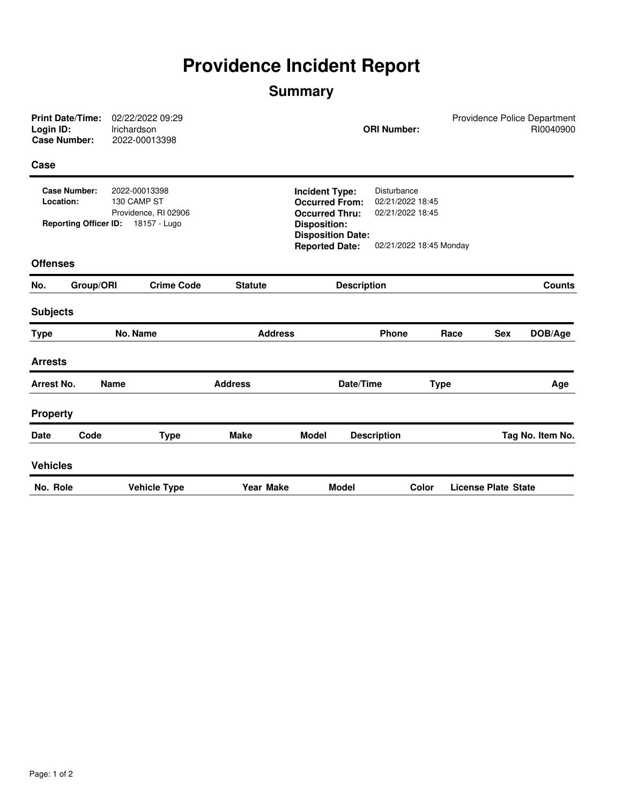## **Providence Incident Report**

## **Summary**

| <b>Print Date/Time:</b><br>Login ID:<br><b>Case Number:</b>                                                                              |           | 02/22/2022 09:29<br>Irichardson<br>2022-00013398 | Providence Police Department<br><b>ORI Number:</b>                                                                         |                       |                          |                                                     |                         |                            | RI0040900 |
|------------------------------------------------------------------------------------------------------------------------------------------|-----------|--------------------------------------------------|----------------------------------------------------------------------------------------------------------------------------|-----------------------|--------------------------|-----------------------------------------------------|-------------------------|----------------------------|-----------|
| Case                                                                                                                                     |           |                                                  |                                                                                                                            |                       |                          |                                                     |                         |                            |           |
| <b>Case Number:</b><br>2022-00013398<br>Location:<br>130 CAMP ST<br>Providence, RI 02906<br>18157 - Lugo<br><b>Reporting Officer ID:</b> |           |                                                  | <b>Incident Type:</b><br><b>Occurred From:</b><br><b>Occurred Thru:</b><br><b>Disposition:</b><br><b>Disposition Date:</b> |                       |                          | Disturbance<br>02/21/2022 18:45<br>02/21/2022 18:45 |                         |                            |           |
|                                                                                                                                          |           |                                                  |                                                                                                                            | <b>Reported Date:</b> |                          |                                                     | 02/21/2022 18:45 Monday |                            |           |
| <b>Offenses</b>                                                                                                                          |           |                                                  |                                                                                                                            |                       |                          |                                                     |                         |                            |           |
| No.                                                                                                                                      | Group/ORI | <b>Crime Code</b>                                | <b>Statute</b>                                                                                                             | <b>Description</b>    |                          |                                                     | <b>Counts</b>           |                            |           |
| <b>Subjects</b>                                                                                                                          |           |                                                  |                                                                                                                            |                       |                          |                                                     |                         |                            |           |
| <b>Type</b>                                                                                                                              | No. Name  |                                                  | <b>Address</b>                                                                                                             |                       |                          | <b>Phone</b>                                        | Race                    | <b>Sex</b>                 | DOB/Age   |
| <b>Arrests</b>                                                                                                                           |           |                                                  |                                                                                                                            |                       |                          |                                                     |                         |                            |           |
| <b>Arrest No.</b><br><b>Name</b>                                                                                                         |           |                                                  | <b>Address</b>                                                                                                             |                       | Date/Time<br><b>Type</b> |                                                     |                         | Age                        |           |
| <b>Property</b>                                                                                                                          |           |                                                  |                                                                                                                            |                       |                          |                                                     |                         |                            |           |
| <b>Date</b>                                                                                                                              | Code      | <b>Type</b>                                      | <b>Make</b><br>Model                                                                                                       |                       | <b>Description</b>       |                                                     |                         | Tag No. Item No.           |           |
| <b>Vehicles</b>                                                                                                                          |           |                                                  |                                                                                                                            |                       |                          |                                                     |                         |                            |           |
| No. Role                                                                                                                                 |           | <b>Vehicle Type</b>                              | <b>Year Make</b>                                                                                                           |                       | <b>Model</b><br>Color    |                                                     |                         | <b>License Plate State</b> |           |